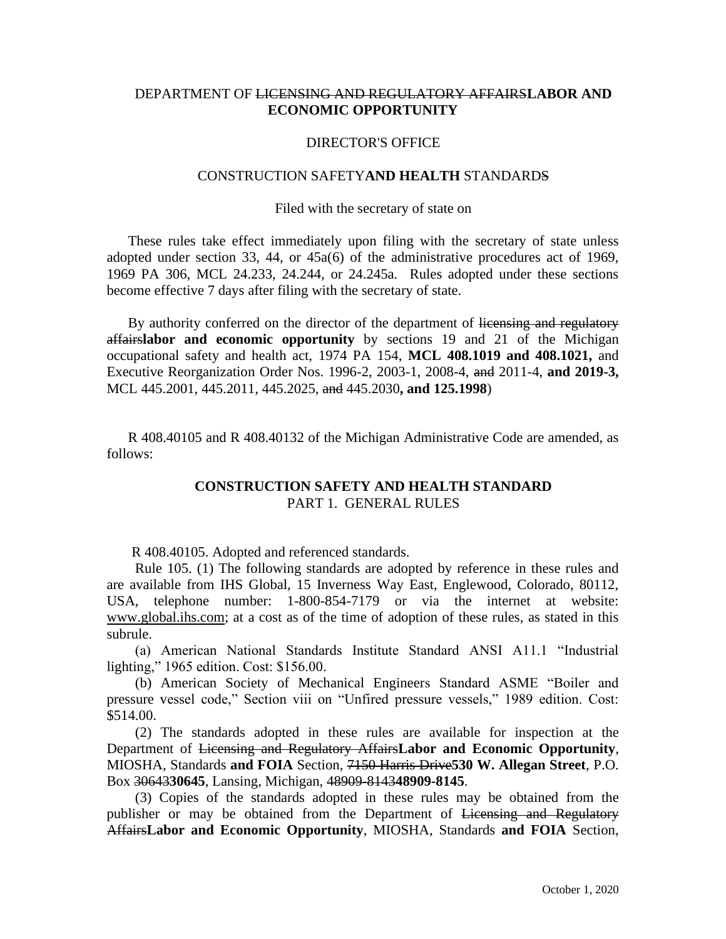# DEPARTMENT OF LICENSING AND REGULATORY AFFAIRS**LABOR AND ECONOMIC OPPORTUNITY**

## DIRECTOR'S OFFICE

## CONSTRUCTION SAFETY**AND HEALTH** STANDARDS

## Filed with the secretary of state on

These rules take effect immediately upon filing with the secretary of state unless adopted under section 33, 44, or 45a(6) of the administrative procedures act of 1969, 1969 PA 306, MCL 24.233, 24.244, or 24.245a. Rules adopted under these sections become effective 7 days after filing with the secretary of state.

By authority conferred on the director of the department of licensing and regulatory affairs**labor and economic opportunity** by sections 19 and 21 of the Michigan occupational safety and health act, 1974 PA 154, **MCL 408.1019 and 408.1021,** and Executive Reorganization Order Nos. 1996-2, 2003-1, 2008-4, and 2011-4, **and 2019-3,** MCL 445.2001, 445.2011, 445.2025, and 445.2030**, and 125.1998**)

R 408.40105 and R 408.40132 of the Michigan Administrative Code are amended, as follows:

# **CONSTRUCTION SAFETY AND HEALTH STANDARD** PART 1. GENERAL RULES

R 408.40105. Adopted and referenced standards.

 Rule 105. (1) The following standards are adopted by reference in these rules and are available from IHS Global, 15 Inverness Way East, Englewood, Colorado, 80112, USA, telephone number: 1-800-854-7179 or via the internet at website: [www.global.ihs.com;](http://www.global.ihs.com/) at a cost as of the time of adoption of these rules, as stated in this subrule.

 (a) American National Standards Institute Standard ANSI A11.1 "Industrial lighting," 1965 edition. Cost: \$156.00.

 (b) American Society of Mechanical Engineers Standard ASME "Boiler and pressure vessel code," Section viii on "Unfired pressure vessels," 1989 edition. Cost: \$514.00.

 (2) The standards adopted in these rules are available for inspection at the Department of Licensing and Regulatory Affairs**Labor and Economic Opportunity**, MIOSHA, Standards **and FOIA** Section, 7150 Harris Drive**530 W. Allegan Street**, P.O. Box 30643**30645**, Lansing, Michigan, 48909-8143**48909-8145**.

 (3) Copies of the standards adopted in these rules may be obtained from the publisher or may be obtained from the Department of Licensing and Regulatory Affairs**Labor and Economic Opportunity**, MIOSHA, Standards **and FOIA** Section,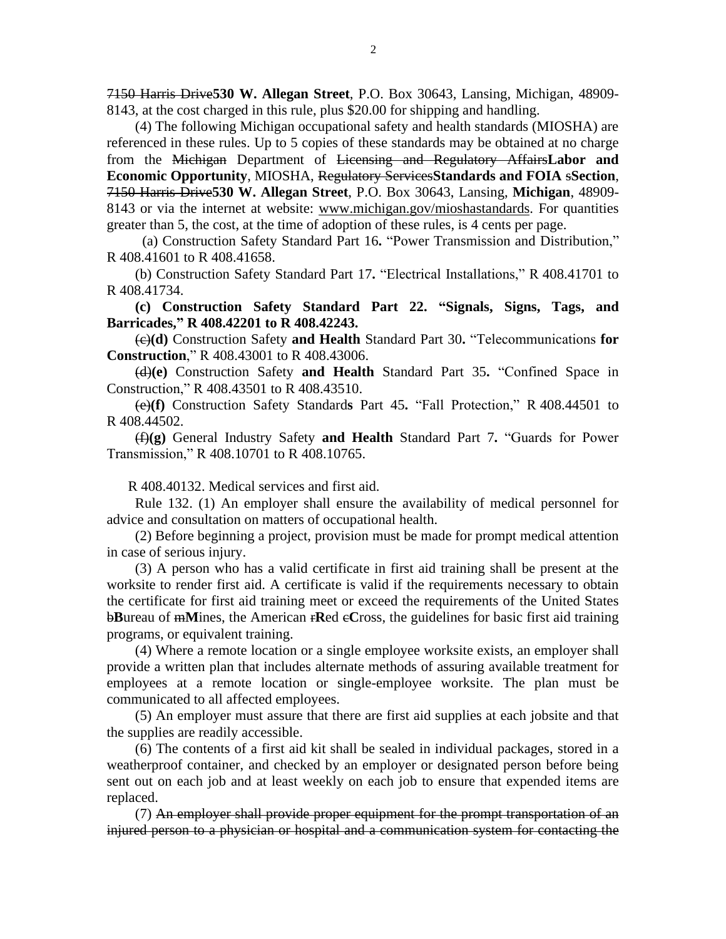7150 Harris Drive**530 W. Allegan Street**, P.O. Box 30643, Lansing, Michigan, 48909- 8143, at the cost charged in this rule, plus \$20.00 for shipping and handling.

 (4) The following Michigan occupational safety and health standards (MIOSHA) are referenced in these rules. Up to 5 copies of these standards may be obtained at no charge from the Michigan Department of Licensing and Regulatory Affairs**Labor and Economic Opportunity**, MIOSHA, Regulatory Services**Standards and FOIA** s**Section**, 7150 Harris Drive**530 W. Allegan Street**, P.O. Box 30643, Lansing, **Michigan**, 48909- 8143 or via the internet at website: [www.michigan.gov/mioshastandards.](http://www.michigan.gov/mioshastandards) For quantities greater than 5, the cost, at the time of adoption of these rules, is 4 cents per page.

 (a) Construction Safety Standard Part 16**.** "Power Transmission and Distribution," R 408.41601 to R 408.41658.

(b) Construction Safety Standard Part 17**.** "Electrical Installations," R 408.41701 to R 408.41734.

 **(c) Construction Safety Standard Part 22. "Signals, Signs, Tags, and Barricades," R 408.42201 to R 408.42243.**

 (c)**(d)** Construction Safety **and Health** Standard Part 30**.** "Telecommunications **for Construction**," R 408.43001 to R 408.43006.

 (d)**(e)** Construction Safety **and Health** Standard Part 35**.** "Confined Space in Construction," R 408.43501 to R 408.43510.

 (e)**(f)** Construction Safety Standard**s** Part 45**.** "Fall Protection," R 408.44501 to R 408.44502.

 (f)**(g)** General Industry Safety **and Health** Standard Part 7**.** "Guards for Power Transmission," R 408.10701 to R 408.10765.

R 408.40132. Medical services and first aid.

 Rule 132. (1) An employer shall ensure the availability of medical personnel for advice and consultation on matters of occupational health.

 (2) Before beginning a project, provision must be made for prompt medical attention in case of serious injury.

 (3) A person who has a valid certificate in first aid training shall be present at the worksite to render first aid. A certificate is valid if the requirements necessary to obtain the certificate for first aid training meet or exceed the requirements of the United States **bBureau of mMines, the American rRed eCross, the guidelines for basic first aid training** programs, or equivalent training.

 (4) Where a remote location or a single employee worksite exists, an employer shall provide a written plan that includes alternate methods of assuring available treatment for employees at a remote location or single-employee worksite. The plan must be communicated to all affected employees.

 (5) An employer must assure that there are first aid supplies at each jobsite and that the supplies are readily accessible.

 (6) The contents of a first aid kit shall be sealed in individual packages, stored in a weatherproof container, and checked by an employer or designated person before being sent out on each job and at least weekly on each job to ensure that expended items are replaced.

 (7) An employer shall provide proper equipment for the prompt transportation of an injured person to a physician or hospital and a communication system for contacting the